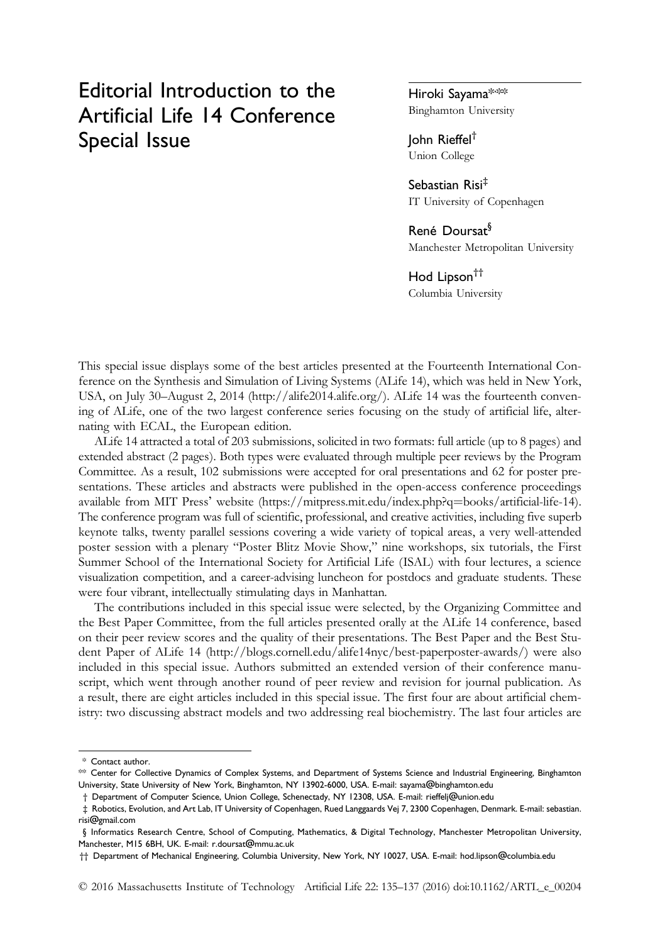## Editorial Introduction to the Artificial Life 14 Conference Special Issue

Hiroki Sayama<sup>\*,\*\*</sup> Binghamton University

John Rieffel† Union College

Sebastian Risi‡ IT University of Copenhagen

René Doursat<sup>§</sup> Manchester Metropolitan University

Hod Lipson†† Columbia University

This special issue displays some of the best articles presented at the Fourteenth International Conference on the Synthesis and Simulation of Living Systems (ALife 14), which was held in New York, USA, on July 30–August 2, 2014 (http://alife2014.alife.org/). ALife 14 was the fourteenth convening of ALife, one of the two largest conference series focusing on the study of artificial life, alternating with ECAL, the European edition.

ALife 14 attracted a total of 203 submissions, solicited in two formats: full article (up to 8 pages) and extended abstract (2 pages). Both types were evaluated through multiple peer reviews by the Program Committee. As a result, 102 submissions were accepted for oral presentations and 62 for poster presentations. These articles and abstracts were published in the open-access conference proceedings available from MIT Press' website (https://mitpress.mit.edu/index.php?q=books/artificial-life-14). The conference program was full of scientific, professional, and creative activities, including five superb keynote talks, twenty parallel sessions covering a wide variety of topical areas, a very well-attended poster session with a plenary "Poster Blitz Movie Show," nine workshops, six tutorials, the First Summer School of the International Society for Artificial Life (ISAL) with four lectures, a science visualization competition, and a career-advising luncheon for postdocs and graduate students. These were four vibrant, intellectually stimulating days in Manhattan.

The contributions included in this special issue were selected, by the Organizing Committee and the Best Paper Committee, from the full articles presented orally at the ALife 14 conference, based on their peer review scores and the quality of their presentations. The Best Paper and the Best Student Paper of ALife 14 (http://blogs.cornell.edu/alife14nyc/best-paperposter-awards/) were also included in this special issue. Authors submitted an extended version of their conference manuscript, which went through another round of peer review and revision for journal publication. As a result, there are eight articles included in this special issue. The first four are about artificial chemistry: two discussing abstract models and two addressing real biochemistry. The last four articles are

<sup>\*</sup> Contact author.

<sup>\*\*</sup> Center for Collective Dynamics of Complex Systems, and Department of Systems Science and Industrial Engineering, Binghamton University, State University of New York, Binghamton, NY 13902-6000, USA. E-mail: sayama@binghamton.edu

<sup>†</sup> Department of Computer Science, Union College, Schenectady, NY 12308, USA. E-mail: rieffelj@union.edu

<sup>‡</sup> Robotics, Evolution, and Art Lab, IT University of Copenhagen, Rued Langgaards Vej 7, 2300 Copenhagen, Denmark. E-mail: sebastian. risi@gmail.com

<sup>§</sup> Informatics Research Centre, School of Computing, Mathematics, & Digital Technology, Manchester Metropolitan University, Manchester, M15 6BH, UK. E-mail: r.doursat@mmu.ac.uk

<sup>††</sup> Department of Mechanical Engineering, Columbia University, New York, NY 10027, USA. E-mail: hod.lipson@columbia.edu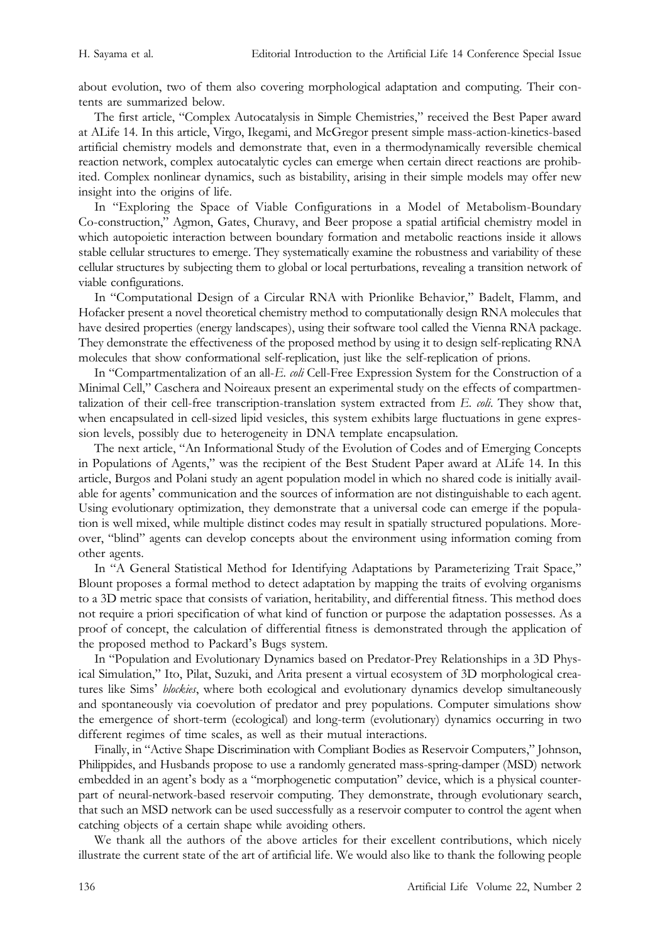about evolution, two of them also covering morphological adaptation and computing. Their contents are summarized below.

The first article, "Complex Autocatalysis in Simple Chemistries," received the Best Paper award at ALife 14. In this article, Virgo, Ikegami, and McGregor present simple mass-action-kinetics-based artificial chemistry models and demonstrate that, even in a thermodynamically reversible chemical reaction network, complex autocatalytic cycles can emerge when certain direct reactions are prohibited. Complex nonlinear dynamics, such as bistability, arising in their simple models may offer new insight into the origins of life.

In "Exploring the Space of Viable Configurations in a Model of Metabolism-Boundary Co-construction," Agmon, Gates, Churavy, and Beer propose a spatial artificial chemistry model in which autopoietic interaction between boundary formation and metabolic reactions inside it allows stable cellular structures to emerge. They systematically examine the robustness and variability of these cellular structures by subjecting them to global or local perturbations, revealing a transition network of viable configurations.

In "Computational Design of a Circular RNA with Prionlike Behavior," Badelt, Flamm, and Hofacker present a novel theoretical chemistry method to computationally design RNA molecules that have desired properties (energy landscapes), using their software tool called the Vienna RNA package. They demonstrate the effectiveness of the proposed method by using it to design self-replicating RNA molecules that show conformational self-replication, just like the self-replication of prions.

In "Compartmentalization of an all-E. coli Cell-Free Expression System for the Construction of a Minimal Cell," Caschera and Noireaux present an experimental study on the effects of compartmentalization of their cell-free transcription-translation system extracted from E. coli. They show that, when encapsulated in cell-sized lipid vesicles, this system exhibits large fluctuations in gene expression levels, possibly due to heterogeneity in DNA template encapsulation.

The next article, "An Informational Study of the Evolution of Codes and of Emerging Concepts in Populations of Agents," was the recipient of the Best Student Paper award at ALife 14. In this article, Burgos and Polani study an agent population model in which no shared code is initially available for agents' communication and the sources of information are not distinguishable to each agent. Using evolutionary optimization, they demonstrate that a universal code can emerge if the population is well mixed, while multiple distinct codes may result in spatially structured populations. Moreover, "blind" agents can develop concepts about the environment using information coming from other agents.

In "A General Statistical Method for Identifying Adaptations by Parameterizing Trait Space," Blount proposes a formal method to detect adaptation by mapping the traits of evolving organisms to a 3D metric space that consists of variation, heritability, and differential fitness. This method does not require a priori specification of what kind of function or purpose the adaptation possesses. As a proof of concept, the calculation of differential fitness is demonstrated through the application of the proposed method to Packard's Bugs system.

In "Population and Evolutionary Dynamics based on Predator-Prey Relationships in a 3D Physical Simulation," Ito, Pilat, Suzuki, and Arita present a virtual ecosystem of 3D morphological creatures like Sims' blockies, where both ecological and evolutionary dynamics develop simultaneously and spontaneously via coevolution of predator and prey populations. Computer simulations show the emergence of short-term (ecological) and long-term (evolutionary) dynamics occurring in two different regimes of time scales, as well as their mutual interactions.

Finally, in "Active Shape Discrimination with Compliant Bodies as Reservoir Computers," Johnson, Philippides, and Husbands propose to use a randomly generated mass-spring-damper (MSD) network embedded in an agent's body as a "morphogenetic computation" device, which is a physical counterpart of neural-network-based reservoir computing. They demonstrate, through evolutionary search, that such an MSD network can be used successfully as a reservoir computer to control the agent when catching objects of a certain shape while avoiding others.

We thank all the authors of the above articles for their excellent contributions, which nicely illustrate the current state of the art of artificial life. We would also like to thank the following people